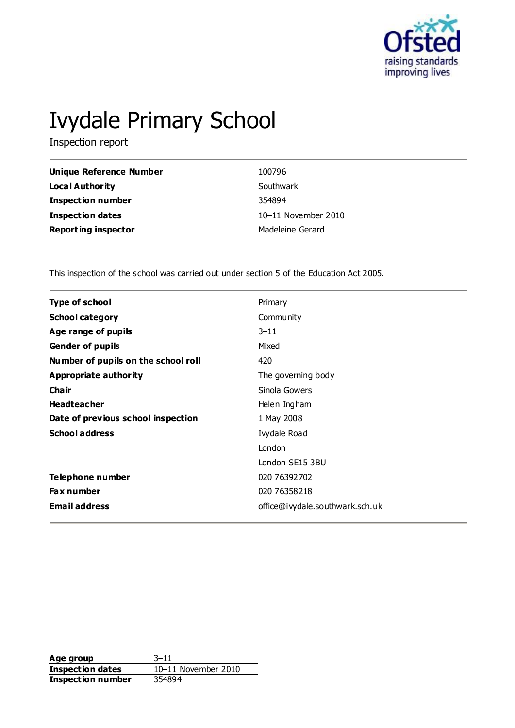

# Ivydale Primary School

Inspection report

| Unique Reference Number    | 100796              |
|----------------------------|---------------------|
| Local Authority            | Southwark           |
| <b>Inspection number</b>   | 354894              |
| Inspection dates           | 10-11 November 2010 |
| <b>Reporting inspector</b> | Madeleine Gerard    |

This inspection of the school was carried out under section 5 of the Education Act 2005.

| <b>Type of school</b>               | Primary                         |
|-------------------------------------|---------------------------------|
| <b>School category</b>              | Community                       |
| Age range of pupils                 | $3 - 11$                        |
| <b>Gender of pupils</b>             | Mixed                           |
| Number of pupils on the school roll | 420                             |
| Appropriate authority               | The governing body              |
| Cha ir                              | Sinola Gowers                   |
| <b>Headteacher</b>                  | Helen Ingham                    |
| Date of previous school inspection  | 1 May 2008                      |
| <b>School address</b>               | Ivydale Road                    |
|                                     | London                          |
|                                     | London SE15 3BU                 |
| Telephone number                    | 020 76392702                    |
| <b>Fax number</b>                   | 020 76358218                    |
| <b>Email address</b>                | office@ivydale.southwark.sch.uk |

**Age group** 3–11 **Inspection dates** 10–11 November 2010 **Inspection number** 354894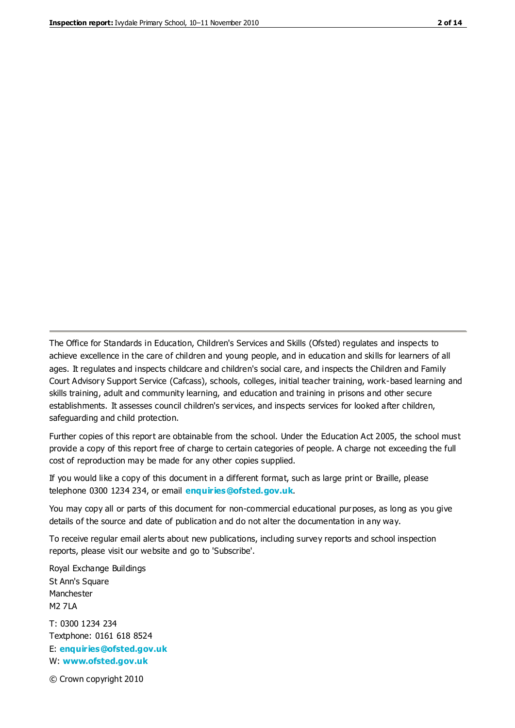The Office for Standards in Education, Children's Services and Skills (Ofsted) regulates and inspects to achieve excellence in the care of children and young people, and in education and skills for learners of all ages. It regulates and inspects childcare and children's social care, and inspects the Children and Family Court Advisory Support Service (Cafcass), schools, colleges, initial teacher training, work-based learning and skills training, adult and community learning, and education and training in prisons and other secure establishments. It assesses council children's services, and inspects services for looked after children, safeguarding and child protection.

Further copies of this report are obtainable from the school. Under the Education Act 2005, the school must provide a copy of this report free of charge to certain categories of people. A charge not exceeding the full cost of reproduction may be made for any other copies supplied.

If you would like a copy of this document in a different format, such as large print or Braille, please telephone 0300 1234 234, or email **[enquiries@ofsted.gov.uk](mailto:enquiries@ofsted.gov.uk)**.

You may copy all or parts of this document for non-commercial educational purposes, as long as you give details of the source and date of publication and do not alter the documentation in any way.

To receive regular email alerts about new publications, including survey reports and school inspection reports, please visit our website and go to 'Subscribe'.

Royal Exchange Buildings St Ann's Square Manchester M2 7LA T: 0300 1234 234 Textphone: 0161 618 8524 E: **[enquiries@ofsted.gov.uk](mailto:enquiries@ofsted.gov.uk)** W: **[www.ofsted.gov.uk](http://www.ofsted.gov.uk/)**

© Crown copyright 2010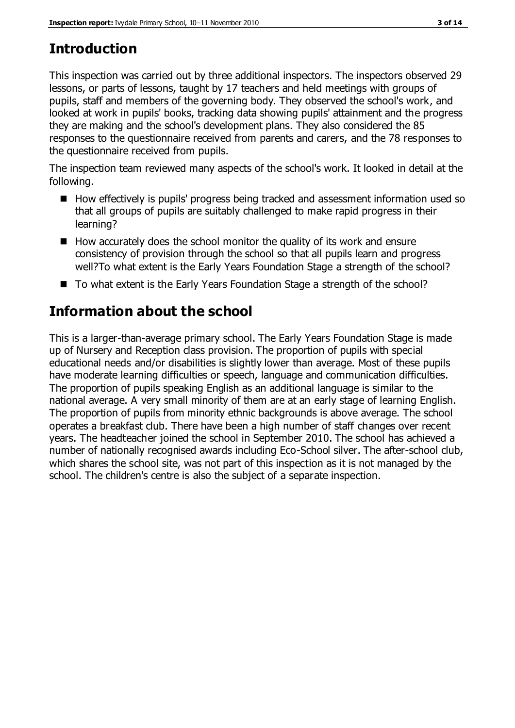# **Introduction**

This inspection was carried out by three additional inspectors. The inspectors observed 29 lessons, or parts of lessons, taught by 17 teachers and held meetings with groups of pupils, staff and members of the governing body. They observed the school's work, and looked at work in pupils' books, tracking data showing pupils' attainment and the progress they are making and the school's development plans. They also considered the 85 responses to the questionnaire received from parents and carers, and the 78 responses to the questionnaire received from pupils.

The inspection team reviewed many aspects of the school's work. It looked in detail at the following.

- How effectively is pupils' progress being tracked and assessment information used so that all groups of pupils are suitably challenged to make rapid progress in their learning?
- $\blacksquare$  How accurately does the school monitor the quality of its work and ensure consistency of provision through the school so that all pupils learn and progress well?To what extent is the Early Years Foundation Stage a strength of the school?
- To what extent is the Early Years Foundation Stage a strength of the school?

# **Information about the school**

This is a larger-than-average primary school. The Early Years Foundation Stage is made up of Nursery and Reception class provision. The proportion of pupils with special educational needs and/or disabilities is slightly lower than average. Most of these pupils have moderate learning difficulties or speech, language and communication difficulties. The proportion of pupils speaking English as an additional language is similar to the national average. A very small minority of them are at an early stage of learning English. The proportion of pupils from minority ethnic backgrounds is above average. The school operates a breakfast club. There have been a high number of staff changes over recent years. The headteacher joined the school in September 2010. The school has achieved a number of nationally recognised awards including Eco-School silver. The after-school club, which shares the school site, was not part of this inspection as it is not managed by the school. The children's centre is also the subject of a separate inspection.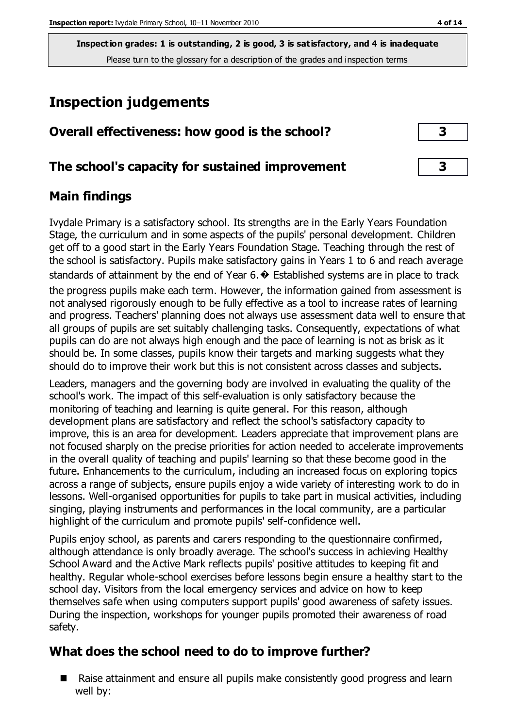**Inspection grades: 1 is outstanding, 2 is good, 3 is satisfactory, and 4 is inadequate** Please turn to the glossary for a description of the grades and inspection terms

## **Inspection judgements**

| Overall effectiveness: how good is the school? |  |
|------------------------------------------------|--|
|------------------------------------------------|--|

#### **The school's capacity for sustained improvement 3**

#### **Main findings**

Ivydale Primary is a satisfactory school. Its strengths are in the Early Years Foundation Stage, the curriculum and in some aspects of the pupils' personal development. Children get off to a good start in the Early Years Foundation Stage. Teaching through the rest of the school is satisfactory. Pupils make satisfactory gains in Years 1 to 6 and reach average standards of attainment by the end of Year 6. $\bullet$  Established systems are in place to track the progress pupils make each term. However, the information gained from assessment is not analysed rigorously enough to be fully effective as a tool to increase rates of learning and progress. Teachers' planning does not always use assessment data well to ensure that all groups of pupils are set suitably challenging tasks. Consequently, expectations of what pupils can do are not always high enough and the pace of learning is not as brisk as it should be. In some classes, pupils know their targets and marking suggests what they should do to improve their work but this is not consistent across classes and subjects.

Leaders, managers and the governing body are involved in evaluating the quality of the school's work. The impact of this self-evaluation is only satisfactory because the monitoring of teaching and learning is quite general. For this reason, although development plans are satisfactory and reflect the school's satisfactory capacity to improve, this is an area for development. Leaders appreciate that improvement plans are not focused sharply on the precise priorities for action needed to accelerate improvements in the overall quality of teaching and pupils' learning so that these become good in the future. Enhancements to the curriculum, including an increased focus on exploring topics across a range of subjects, ensure pupils enjoy a wide variety of interesting work to do in lessons. Well-organised opportunities for pupils to take part in musical activities, including singing, playing instruments and performances in the local community, are a particular highlight of the curriculum and promote pupils' self-confidence well.

Pupils enjoy school, as parents and carers responding to the questionnaire confirmed, although attendance is only broadly average. The school's success in achieving Healthy School Award and the Active Mark reflects pupils' positive attitudes to keeping fit and healthy. Regular whole-school exercises before lessons begin ensure a healthy start to the school day. Visitors from the local emergency services and advice on how to keep themselves safe when using computers support pupils' good awareness of safety issues. During the inspection, workshops for younger pupils promoted their awareness of road safety.

#### **What does the school need to do to improve further?**

■ Raise attainment and ensure all pupils make consistently good progress and learn well by: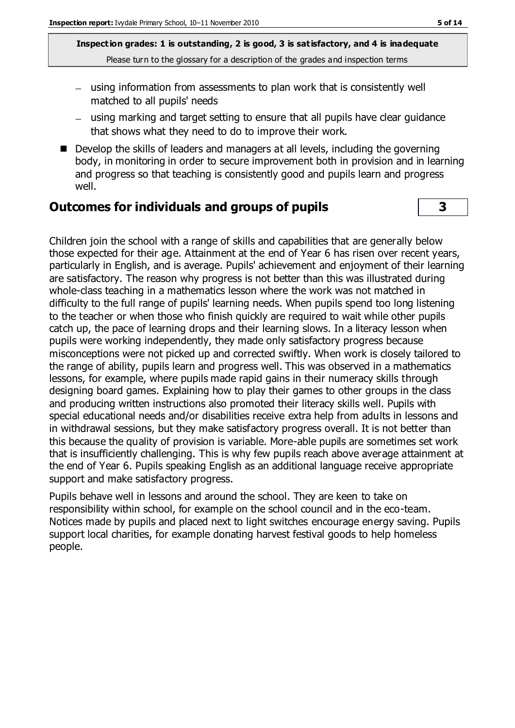**Inspection grades: 1 is outstanding, 2 is good, 3 is satisfactory, and 4 is inadequate** Please turn to the glossary for a description of the grades and inspection terms

- using information from assessments to plan work that is consistently well matched to all pupils' needs
- using marking and target setting to ensure that all pupils have clear guidance that shows what they need to do to improve their work.
- Develop the skills of leaders and managers at all levels, including the governing body, in monitoring in order to secure improvement both in provision and in learning and progress so that teaching is consistently good and pupils learn and progress well.

#### **Outcomes for individuals and groups of pupils 3**

Children join the school with a range of skills and capabilities that are generally below those expected for their age. Attainment at the end of Year 6 has risen over recent years, particularly in English, and is average. Pupils' achievement and enjoyment of their learning are satisfactory. The reason why progress is not better than this was illustrated during whole-class teaching in a mathematics lesson where the work was not matched in difficulty to the full range of pupils' learning needs. When pupils spend too long listening to the teacher or when those who finish quickly are required to wait while other pupils catch up, the pace of learning drops and their learning slows. In a literacy lesson when pupils were working independently, they made only satisfactory progress because misconceptions were not picked up and corrected swiftly. When work is closely tailored to the range of ability, pupils learn and progress well. This was observed in a mathematics lessons, for example, where pupils made rapid gains in their numeracy skills through designing board games. Explaining how to play their games to other groups in the class and producing written instructions also promoted their literacy skills well. Pupils with special educational needs and/or disabilities receive extra help from adults in lessons and in withdrawal sessions, but they make satisfactory progress overall. It is not better than this because the quality of provision is variable. More-able pupils are sometimes set work that is insufficiently challenging. This is why few pupils reach above average attainment at the end of Year 6. Pupils speaking English as an additional language receive appropriate support and make satisfactory progress.

Pupils behave well in lessons and around the school. They are keen to take on responsibility within school, for example on the school council and in the eco-team. Notices made by pupils and placed next to light switches encourage energy saving. Pupils support local charities, for example donating harvest festival goods to help homeless people.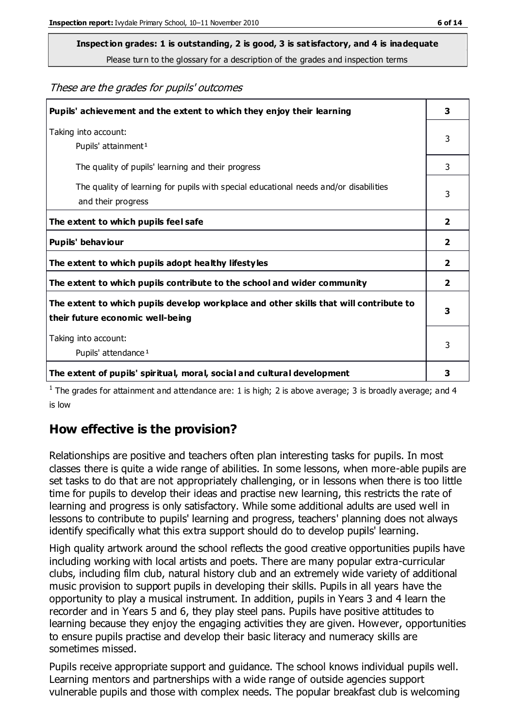# **Inspection grades: 1 is outstanding, 2 is good, 3 is satisfactory, and 4 is inadequate**

Please turn to the glossary for a description of the grades and inspection terms

These are the grades for pupils' outcomes

| Pupils' achievement and the extent to which they enjoy their learning                                                     |              |
|---------------------------------------------------------------------------------------------------------------------------|--------------|
| Taking into account:<br>Pupils' attainment <sup>1</sup>                                                                   | 3            |
| The quality of pupils' learning and their progress                                                                        | 3            |
| The quality of learning for pupils with special educational needs and/or disabilities<br>and their progress               | 3            |
| The extent to which pupils feel safe                                                                                      | $\mathbf{2}$ |
| Pupils' behaviour                                                                                                         | 2            |
| The extent to which pupils adopt healthy lifestyles                                                                       | 2            |
| The extent to which pupils contribute to the school and wider community                                                   | $\mathbf{2}$ |
| The extent to which pupils develop workplace and other skills that will contribute to<br>their future economic well-being |              |
| Taking into account:<br>Pupils' attendance <sup>1</sup>                                                                   | 3            |
| The extent of pupils' spiritual, moral, social and cultural development                                                   | 3            |

<sup>1</sup> The grades for attainment and attendance are: 1 is high; 2 is above average; 3 is broadly average; and 4 is low

#### **How effective is the provision?**

Relationships are positive and teachers often plan interesting tasks for pupils. In most classes there is quite a wide range of abilities. In some lessons, when more-able pupils are set tasks to do that are not appropriately challenging, or in lessons when there is too little time for pupils to develop their ideas and practise new learning, this restricts the rate of learning and progress is only satisfactory. While some additional adults are used well in lessons to contribute to pupils' learning and progress, teachers' planning does not always identify specifically what this extra support should do to develop pupils' learning.

High quality artwork around the school reflects the good creative opportunities pupils have including working with local artists and poets. There are many popular extra-curricular clubs, including film club, natural history club and an extremely wide variety of additional music provision to support pupils in developing their skills. Pupils in all years have the opportunity to play a musical instrument. In addition, pupils in Years 3 and 4 learn the recorder and in Years 5 and 6, they play steel pans. Pupils have positive attitudes to learning because they enjoy the engaging activities they are given. However, opportunities to ensure pupils practise and develop their basic literacy and numeracy skills are sometimes missed.

Pupils receive appropriate support and guidance. The school knows individual pupils well. Learning mentors and partnerships with a wide range of outside agencies support vulnerable pupils and those with complex needs. The popular breakfast club is welcoming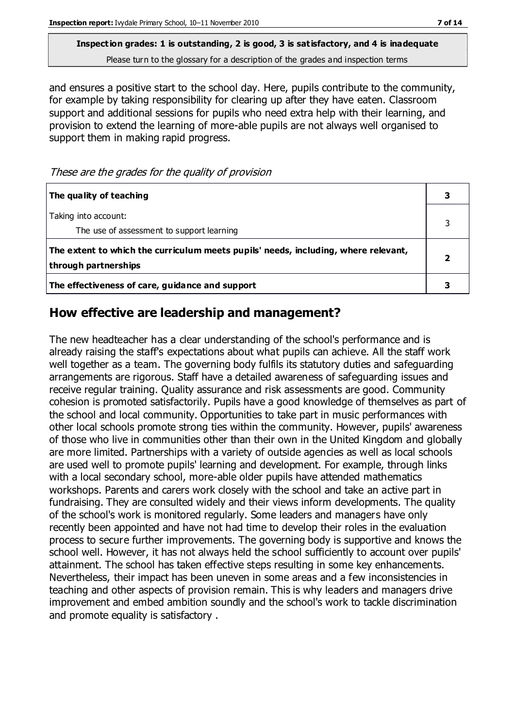#### **Inspection grades: 1 is outstanding, 2 is good, 3 is satisfactory, and 4 is inadequate** Please turn to the glossary for a description of the grades and inspection terms

and ensures a positive start to the school day. Here, pupils contribute to the community, for example by taking responsibility for clearing up after they have eaten. Classroom support and additional sessions for pupils who need extra help with their learning, and provision to extend the learning of more-able pupils are not always well organised to support them in making rapid progress.

These are the grades for the quality of provision

| The quality of teaching                                                                                    |  |
|------------------------------------------------------------------------------------------------------------|--|
| Taking into account:<br>The use of assessment to support learning                                          |  |
| The extent to which the curriculum meets pupils' needs, including, where relevant,<br>through partnerships |  |
| The effectiveness of care, guidance and support                                                            |  |

#### **How effective are leadership and management?**

The new headteacher has a clear understanding of the school's performance and is already raising the staff's expectations about what pupils can achieve. All the staff work well together as a team. The governing body fulfils its statutory duties and safeguarding arrangements are rigorous. Staff have a detailed awareness of safeguarding issues and receive regular training. Quality assurance and risk assessments are good. Community cohesion is promoted satisfactorily. Pupils have a good knowledge of themselves as part of the school and local community. Opportunities to take part in music performances with other local schools promote strong ties within the community. However, pupils' awareness of those who live in communities other than their own in the United Kingdom and globally are more limited. Partnerships with a variety of outside agencies as well as local schools are used well to promote pupils' learning and development. For example, through links with a local secondary school, more-able older pupils have attended mathematics workshops. Parents and carers work closely with the school and take an active part in fundraising. They are consulted widely and their views inform developments. The quality of the school's work is monitored regularly. Some leaders and managers have only recently been appointed and have not had time to develop their roles in the evaluation process to secure further improvements. The governing body is supportive and knows the school well. However, it has not always held the school sufficiently to account over pupils' attainment. The school has taken effective steps resulting in some key enhancements. Nevertheless, their impact has been uneven in some areas and a few inconsistencies in teaching and other aspects of provision remain. This is why leaders and managers drive improvement and embed ambition soundly and the school's work to tackle discrimination and promote equality is satisfactory .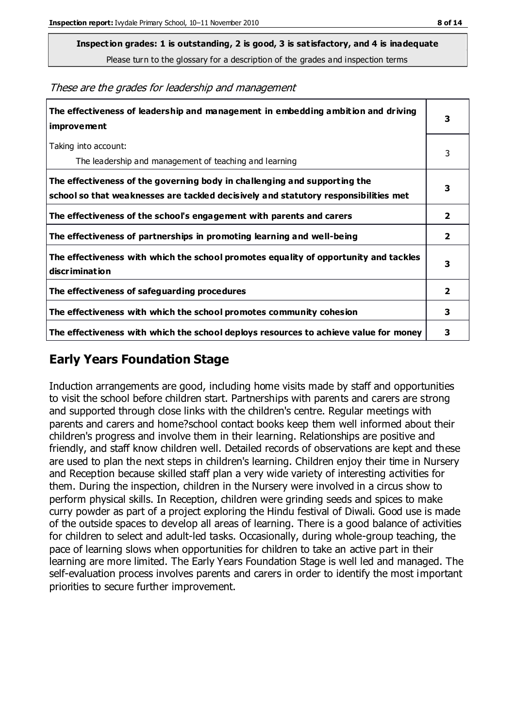**Inspection grades: 1 is outstanding, 2 is good, 3 is satisfactory, and 4 is inadequate**

Please turn to the glossary for a description of the grades and inspection terms

These are the grades for leadership and management

| The effectiveness of leadership and management in embedding ambition and driving<br>improvement                                                                  |                |
|------------------------------------------------------------------------------------------------------------------------------------------------------------------|----------------|
| Taking into account:<br>The leadership and management of teaching and learning                                                                                   | 3              |
| The effectiveness of the governing body in challenging and supporting the<br>school so that weaknesses are tackled decisively and statutory responsibilities met | 3              |
| The effectiveness of the school's engagement with parents and carers                                                                                             | 2              |
| The effectiveness of partnerships in promoting learning and well-being                                                                                           | $\overline{2}$ |
| The effectiveness with which the school promotes equality of opportunity and tackles<br>discrimination                                                           | 3              |
| The effectiveness of safeguarding procedures                                                                                                                     | 2              |
| The effectiveness with which the school promotes community cohesion                                                                                              | 3              |
| The effectiveness with which the school deploys resources to achieve value for money                                                                             | 3              |

#### **Early Years Foundation Stage**

Induction arrangements are good, including home visits made by staff and opportunities to visit the school before children start. Partnerships with parents and carers are strong and supported through close links with the children's centre. Regular meetings with parents and carers and home?school contact books keep them well informed about their children's progress and involve them in their learning. Relationships are positive and friendly, and staff know children well. Detailed records of observations are kept and these are used to plan the next steps in children's learning. Children enjoy their time in Nursery and Reception because skilled staff plan a very wide variety of interesting activities for them. During the inspection, children in the Nursery were involved in a circus show to perform physical skills. In Reception, children were grinding seeds and spices to make curry powder as part of a project exploring the Hindu festival of Diwali. Good use is made of the outside spaces to develop all areas of learning. There is a good balance of activities for children to select and adult-led tasks. Occasionally, during whole-group teaching, the pace of learning slows when opportunities for children to take an active part in their learning are more limited. The Early Years Foundation Stage is well led and managed. The self-evaluation process involves parents and carers in order to identify the most important priorities to secure further improvement.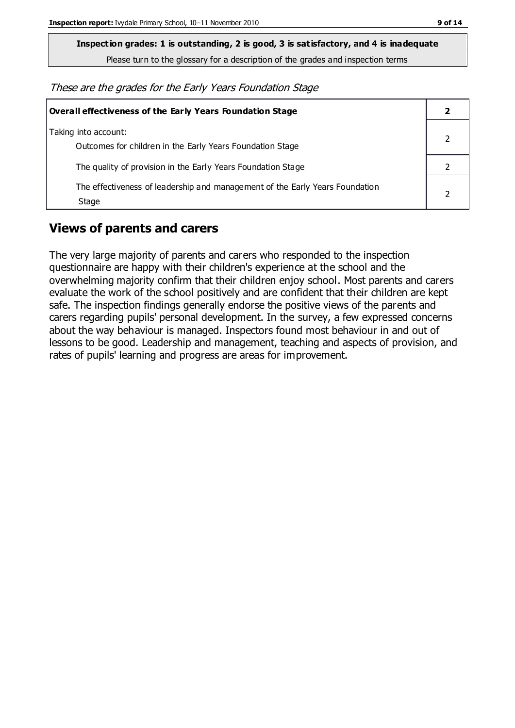**Inspection grades: 1 is outstanding, 2 is good, 3 is satisfactory, and 4 is inadequate**

Please turn to the glossary for a description of the grades and inspection terms

These are the grades for the Early Years Foundation Stage

| <b>Overall effectiveness of the Early Years Foundation Stage</b>                      |  |
|---------------------------------------------------------------------------------------|--|
| Taking into account:<br>Outcomes for children in the Early Years Foundation Stage     |  |
| The quality of provision in the Early Years Foundation Stage                          |  |
| The effectiveness of leadership and management of the Early Years Foundation<br>Stage |  |

#### **Views of parents and carers**

The very large majority of parents and carers who responded to the inspection questionnaire are happy with their children's experience at the school and the overwhelming majority confirm that their children enjoy school. Most parents and carers evaluate the work of the school positively and are confident that their children are kept safe. The inspection findings generally endorse the positive views of the parents and carers regarding pupils' personal development. In the survey, a few expressed concerns about the way behaviour is managed. Inspectors found most behaviour in and out of lessons to be good. Leadership and management, teaching and aspects of provision, and rates of pupils' learning and progress are areas for improvement.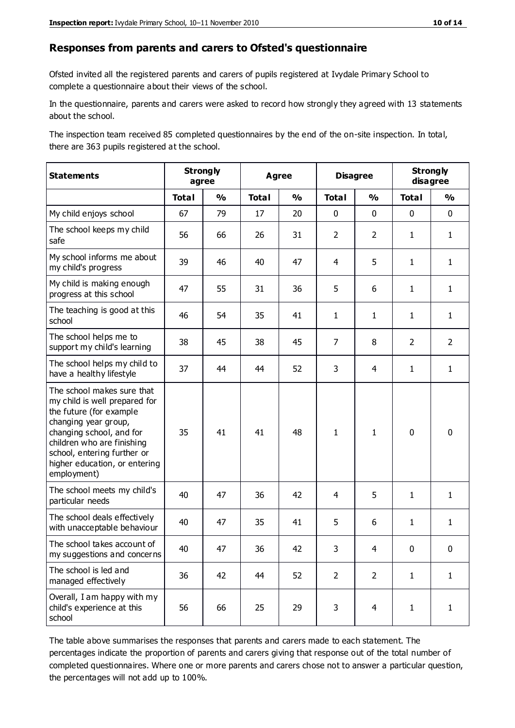#### **Responses from parents and carers to Ofsted's questionnaire**

Ofsted invited all the registered parents and carers of pupils registered at Ivydale Primary School to complete a questionnaire about their views of the school.

In the questionnaire, parents and carers were asked to record how strongly they agreed with 13 statements about the school.

The inspection team received 85 completed questionnaires by the end of the on-site inspection. In total, there are 363 pupils registered at the school.

| <b>Statements</b>                                                                                                                                                                                                                                       | <b>Strongly</b> | agree         | <b>Agree</b> |               | <b>Disagree</b> |                | <b>Strongly</b><br>disagree |                |
|---------------------------------------------------------------------------------------------------------------------------------------------------------------------------------------------------------------------------------------------------------|-----------------|---------------|--------------|---------------|-----------------|----------------|-----------------------------|----------------|
|                                                                                                                                                                                                                                                         | <b>Total</b>    | $\frac{1}{2}$ | <b>Total</b> | $\frac{1}{2}$ | <b>Total</b>    | $\frac{1}{2}$  | <b>Total</b>                | $\frac{1}{2}$  |
| My child enjoys school                                                                                                                                                                                                                                  | 67              | 79            | 17           | 20            | 0               | $\mathbf 0$    | $\mathbf 0$                 | $\mathbf 0$    |
| The school keeps my child<br>safe                                                                                                                                                                                                                       | 56              | 66            | 26           | 31            | $\overline{2}$  | $\overline{2}$ | $\mathbf{1}$                | $\mathbf{1}$   |
| My school informs me about<br>my child's progress                                                                                                                                                                                                       | 39              | 46            | 40           | 47            | 4               | 5              | $\mathbf{1}$                | $\mathbf{1}$   |
| My child is making enough<br>progress at this school                                                                                                                                                                                                    | 47              | 55            | 31           | 36            | 5               | 6              | $\mathbf{1}$                | $\mathbf{1}$   |
| The teaching is good at this<br>school                                                                                                                                                                                                                  | 46              | 54            | 35           | 41            | 1               | $\mathbf{1}$   | $\mathbf{1}$                | $\mathbf{1}$   |
| The school helps me to<br>support my child's learning                                                                                                                                                                                                   | 38              | 45            | 38           | 45            | $\overline{7}$  | 8              | 2                           | $\overline{2}$ |
| The school helps my child to<br>have a healthy lifestyle                                                                                                                                                                                                | 37              | 44            | 44           | 52            | 3               | 4              | $\mathbf{1}$                | $\mathbf{1}$   |
| The school makes sure that<br>my child is well prepared for<br>the future (for example<br>changing year group,<br>changing school, and for<br>children who are finishing<br>school, entering further or<br>higher education, or entering<br>employment) | 35              | 41            | 41           | 48            | $\mathbf{1}$    | $\mathbf{1}$   | $\mathbf 0$                 | $\mathbf 0$    |
| The school meets my child's<br>particular needs                                                                                                                                                                                                         | 40              | 47            | 36           | 42            | 4               | 5              | $\mathbf{1}$                | $\mathbf{1}$   |
| The school deals effectively<br>with unacceptable behaviour                                                                                                                                                                                             | 40              | 47            | 35           | 41            | 5               | 6              | $\mathbf{1}$                | $\mathbf{1}$   |
| The school takes account of<br>my suggestions and concerns                                                                                                                                                                                              | 40              | 47            | 36           | 42            | 3               | 4              | $\Omega$                    | $\Omega$       |
| The school is led and<br>managed effectively                                                                                                                                                                                                            | 36              | 42            | 44           | 52            | $\overline{2}$  | $\overline{2}$ | $\mathbf{1}$                | $\mathbf{1}$   |
| Overall, I am happy with my<br>child's experience at this<br>school                                                                                                                                                                                     | 56              | 66            | 25           | 29            | 3               | $\overline{4}$ | $\mathbf{1}$                | $\mathbf{1}$   |

The table above summarises the responses that parents and carers made to each statement. The percentages indicate the proportion of parents and carers giving that response out of the total number of completed questionnaires. Where one or more parents and carers chose not to answer a particular question, the percentages will not add up to 100%.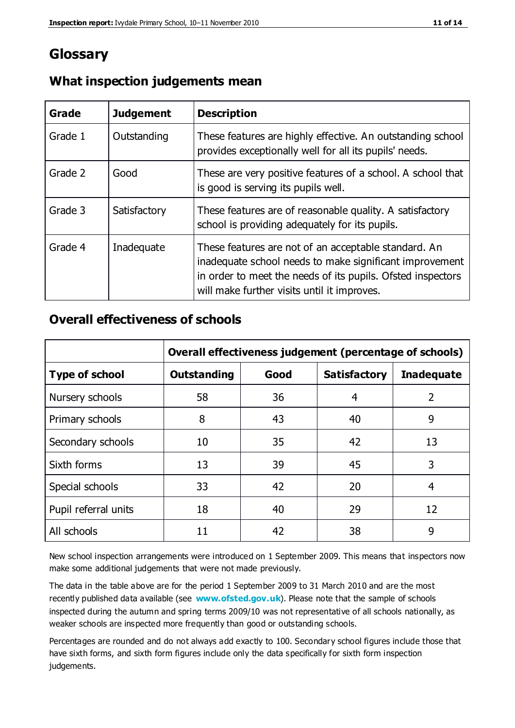#### **Glossary**

| Grade   | <b>Judgement</b> | <b>Description</b>                                                                                                                                                                                                            |
|---------|------------------|-------------------------------------------------------------------------------------------------------------------------------------------------------------------------------------------------------------------------------|
| Grade 1 | Outstanding      | These features are highly effective. An outstanding school<br>provides exceptionally well for all its pupils' needs.                                                                                                          |
| Grade 2 | Good             | These are very positive features of a school. A school that<br>is good is serving its pupils well.                                                                                                                            |
| Grade 3 | Satisfactory     | These features are of reasonable quality. A satisfactory<br>school is providing adequately for its pupils.                                                                                                                    |
| Grade 4 | Inadequate       | These features are not of an acceptable standard. An<br>inadequate school needs to make significant improvement<br>in order to meet the needs of its pupils. Ofsted inspectors<br>will make further visits until it improves. |

#### **What inspection judgements mean**

#### **Overall effectiveness of schools**

|                       | Overall effectiveness judgement (percentage of schools) |      |                     |                   |
|-----------------------|---------------------------------------------------------|------|---------------------|-------------------|
| <b>Type of school</b> | <b>Outstanding</b>                                      | Good | <b>Satisfactory</b> | <b>Inadequate</b> |
| Nursery schools       | 58                                                      | 36   | 4                   | 2                 |
| Primary schools       | 8                                                       | 43   | 40                  | 9                 |
| Secondary schools     | 10                                                      | 35   | 42                  | 13                |
| Sixth forms           | 13                                                      | 39   | 45                  | 3                 |
| Special schools       | 33                                                      | 42   | 20                  | 4                 |
| Pupil referral units  | 18                                                      | 40   | 29                  | 12                |
| All schools           | 11                                                      | 42   | 38                  | 9                 |

New school inspection arrangements were introduced on 1 September 2009. This means that inspectors now make some additional judgements that were not made previously.

The data in the table above are for the period 1 September 2009 to 31 March 2010 and are the most recently published data available (see **[www.ofsted.gov.uk](http://www.ofsted.gov.uk/)**). Please note that the sample of schools inspected during the autumn and spring terms 2009/10 was not representative of all schools nationally, as weaker schools are inspected more frequently than good or outstanding schools.

Percentages are rounded and do not always add exactly to 100. Secondary school figures include those that have sixth forms, and sixth form figures include only the data specifically for sixth form inspection judgements.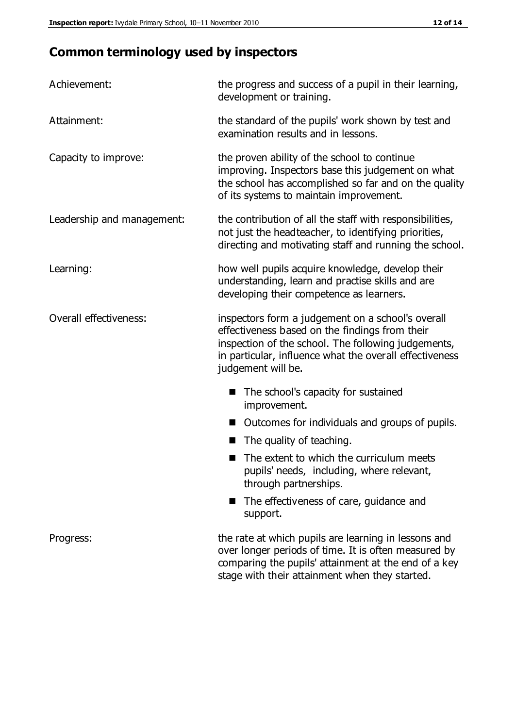## **Common terminology used by inspectors**

| Achievement:                  | the progress and success of a pupil in their learning,<br>development or training.                                                                                                                                                          |  |  |
|-------------------------------|---------------------------------------------------------------------------------------------------------------------------------------------------------------------------------------------------------------------------------------------|--|--|
| Attainment:                   | the standard of the pupils' work shown by test and<br>examination results and in lessons.                                                                                                                                                   |  |  |
| Capacity to improve:          | the proven ability of the school to continue<br>improving. Inspectors base this judgement on what<br>the school has accomplished so far and on the quality<br>of its systems to maintain improvement.                                       |  |  |
| Leadership and management:    | the contribution of all the staff with responsibilities,<br>not just the headteacher, to identifying priorities,<br>directing and motivating staff and running the school.                                                                  |  |  |
| Learning:                     | how well pupils acquire knowledge, develop their<br>understanding, learn and practise skills and are<br>developing their competence as learners.                                                                                            |  |  |
| <b>Overall effectiveness:</b> | inspectors form a judgement on a school's overall<br>effectiveness based on the findings from their<br>inspection of the school. The following judgements,<br>in particular, influence what the overall effectiveness<br>judgement will be. |  |  |
|                               | The school's capacity for sustained<br>improvement.                                                                                                                                                                                         |  |  |
|                               | Outcomes for individuals and groups of pupils.                                                                                                                                                                                              |  |  |
|                               | The quality of teaching.                                                                                                                                                                                                                    |  |  |
|                               | The extent to which the curriculum meets<br>pupils' needs, including, where relevant,<br>through partnerships.                                                                                                                              |  |  |
|                               | The effectiveness of care, guidance and<br>support.                                                                                                                                                                                         |  |  |
| Progress:                     | the rate at which pupils are learning in lessons and<br>over longer periods of time. It is often measured by<br>comparing the pupils' attainment at the end of a key                                                                        |  |  |

stage with their attainment when they started.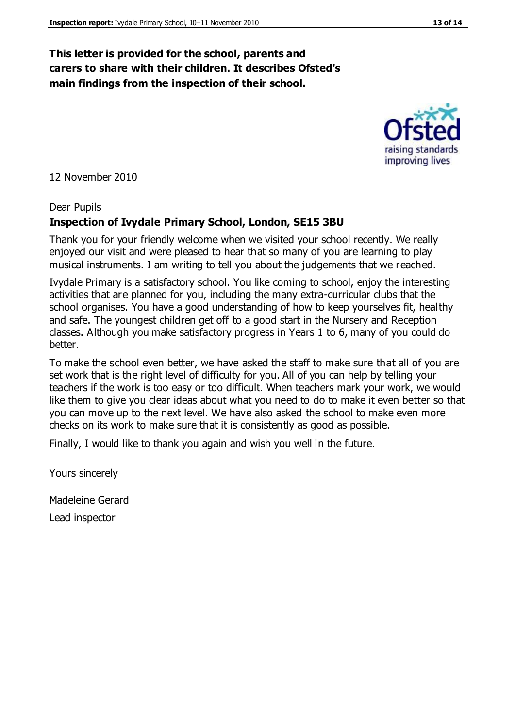#### **This letter is provided for the school, parents and carers to share with their children. It describes Ofsted's main findings from the inspection of their school.**

12 November 2010

#### Dear Pupils

#### **Inspection of Ivydale Primary School, London, SE15 3BU**

Thank you for your friendly welcome when we visited your school recently. We really enjoyed our visit and were pleased to hear that so many of you are learning to play musical instruments. I am writing to tell you about the judgements that we reached.

Ivydale Primary is a satisfactory school. You like coming to school, enjoy the interesting activities that are planned for you, including the many extra-curricular clubs that the school organises. You have a good understanding of how to keep yourselves fit, healthy and safe. The youngest children get off to a good start in the Nursery and Reception classes. Although you make satisfactory progress in Years 1 to 6, many of you could do better.

To make the school even better, we have asked the staff to make sure that all of you are set work that is the right level of difficulty for you. All of you can help by telling your teachers if the work is too easy or too difficult. When teachers mark your work, we would like them to give you clear ideas about what you need to do to make it even better so that you can move up to the next level. We have also asked the school to make even more checks on its work to make sure that it is consistently as good as possible.

Finally, I would like to thank you again and wish you well in the future.

Yours sincerely

Madeleine Gerard Lead inspector